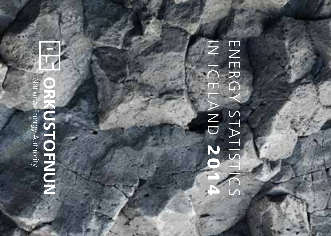

# ENERG  $\overline{z}$ IN ICELAND ENERGY STATISTICS STATIS  $\Delta$ ND  $\overline{\mathbf{2}}$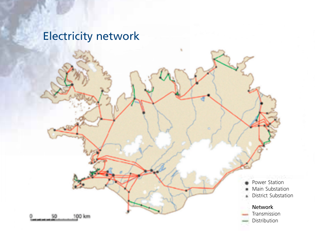## Electricity network Electricity network

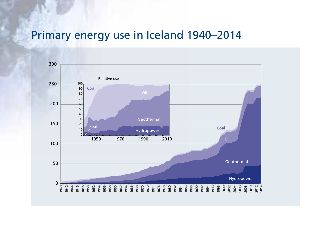#### Primary energy use in Iceland 1940–2014

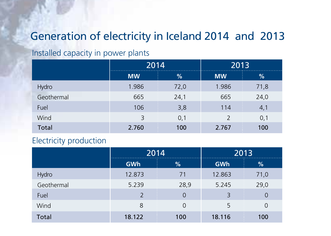#### Generation of electricity in Iceland 2014 and 2013

#### Installed capacity in power plants

|            | 2014      |                          | 2013                     |      |
|------------|-----------|--------------------------|--------------------------|------|
|            | <b>MW</b> | %                        | <b>MW</b>                | %    |
| Hydro      | 1.986     | ł.<br>72,0               | Ť<br>1.986               | 71,8 |
| Geothermal | 665       | 24,1                     | 665                      | 24,0 |
| Fuel       | 106       | Ţ<br>3,8                 | <b>STAR</b><br>÷<br>114  | 4,1  |
| Wind       | 3         | 0,1                      | $\overline{\phantom{a}}$ | 0,1  |
| Total      | 2.760     | Ţ<br>100<br><b>STATE</b> | ŧ<br>2.767               | 100  |

#### Electricity production

|            | 2014                     |                                     | 2013   |                          |
|------------|--------------------------|-------------------------------------|--------|--------------------------|
|            | GWh                      | %                                   | GWh    | %                        |
| Hydro      | 12.873                   | ÷<br>71                             | 12.863 | Ť.<br>71,0               |
| Geothermal | 5.239                    | 28,9                                | 5.245  | 29,0                     |
| Fuel       | $\overline{\phantom{0}}$ | <b>STATE</b><br>÷<br>$\Omega$<br>a. | 3      | Ţ<br>0                   |
| Wind       | 8                        | $\Omega$                            | 5      | 0                        |
| Total      | 18.122                   | Ŧ<br>100                            | 18.116 | <b>STATE</b><br>÷<br>100 |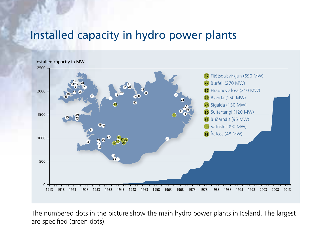#### Installed capacity in hydro power plants



The numbered dots in the picture show the main hydro power plants in Iceland. The largest are specified (green dots).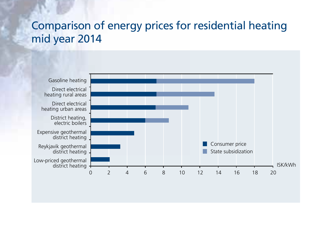#### Comparison of energy prices for residential heating mid year 2014

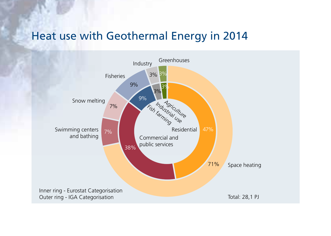#### Heat use with Geothermal Energy in 2014

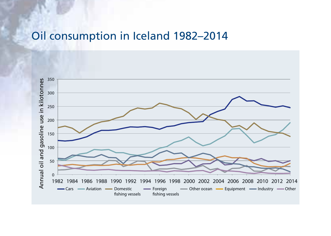#### Oil consumption in Iceland 1982–2014

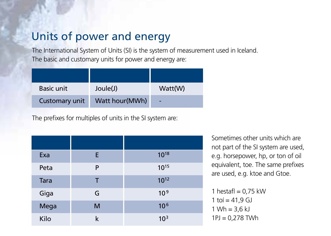#### Units of power and energy

The International System of Units (SI) is the system of measurement used in Iceland. The basic and customary units for power and energy are:

| Basic unit     | Joule(J)       | Watt(W) |
|----------------|----------------|---------|
| Customary unit | Watt hour(MWh) | ٠       |

The prefixes for multiples of units in the SI system are:

| Exa  | E | 1018            |
|------|---|-----------------|
| Peta | P | $10^{15}$       |
| Tara | т | $10^{12}$       |
| Giga | G | 10 <sup>9</sup> |
| Mega | M | 10 <sup>6</sup> |
| Kilo | k | 10 <sup>3</sup> |

Sometimes other units which are not part of the SI system are used, e.g. horsepower, hp, or ton of oil equivalent, toe. The same prefixes are used, e.g. ktoe and Gtoe.

1 hestafl =  $0.75$  kW  $1 \text{ to } i = 41.9 \text{ GJ}$  $1 Wh = 3.6 kJ$ 1PJ = 0,278 TWh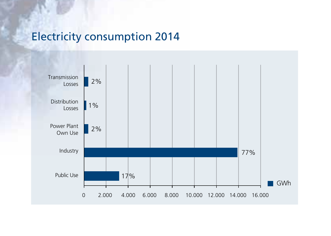#### Electricity consumption 2014

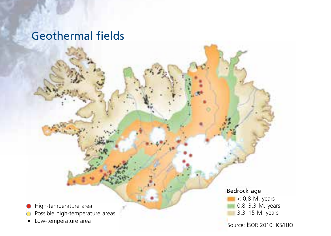## Geothermal fields

High-temperature area

- Possible high-temperature areas
- Low-temperature area

Bedrock age

< 0,8 M. years 0,8–3,3 M. years 3,3–15 M. years

Source: ÍSOR 2010: KS/HJO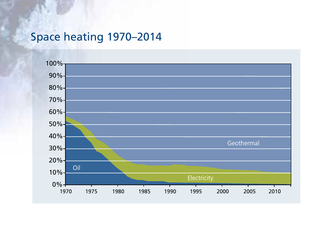## Space heating 1970–2014

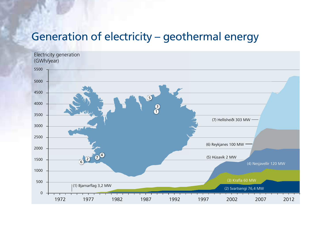#### Generation of electricity – geothermal energy